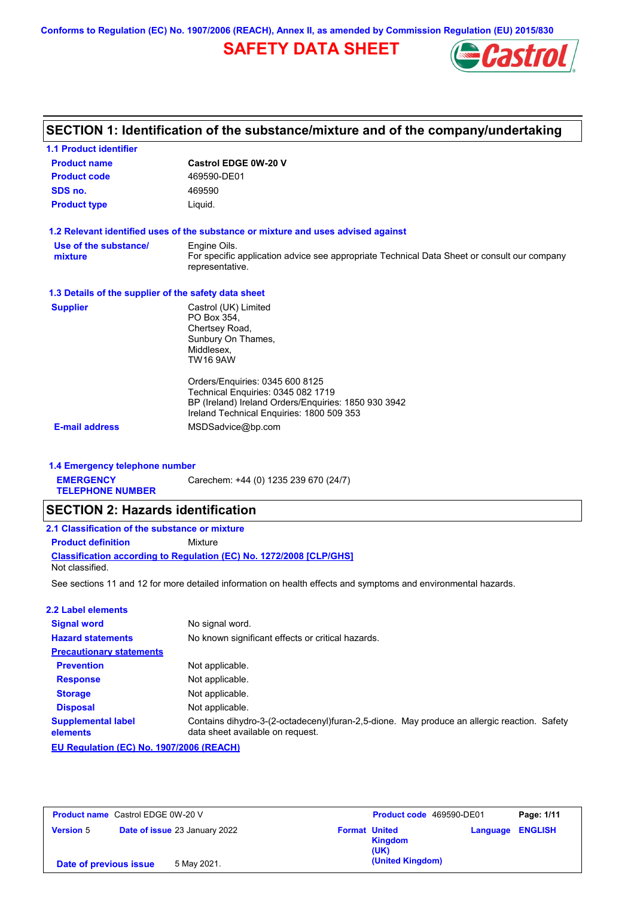**Conforms to Regulation (EC) No. 1907/2006 (REACH), Annex II, as amended by Commission Regulation (EU) 2015/830**

# **SAFETY DATA SHEET**



# **SECTION 1: Identification of the substance/mixture and of the company/undertaking**

| <b>1.1 Product identifier</b>                        |                                                                                                                |
|------------------------------------------------------|----------------------------------------------------------------------------------------------------------------|
| <b>Product name</b>                                  | Castrol EDGE 0W-20 V                                                                                           |
| <b>Product code</b>                                  | 469590-DE01                                                                                                    |
| SDS no.                                              | 469590                                                                                                         |
| <b>Product type</b>                                  | Liquid.                                                                                                        |
|                                                      | 1.2 Relevant identified uses of the substance or mixture and uses advised against                              |
| Use of the substance/                                | Engine Oils.                                                                                                   |
| mixture                                              | For specific application advice see appropriate Technical Data Sheet or consult our company<br>representative. |
| 1.3 Details of the supplier of the safety data sheet |                                                                                                                |
| <b>Supplier</b>                                      | Castrol (UK) Limited                                                                                           |
|                                                      | PO Box 354.                                                                                                    |
|                                                      | Chertsey Road,<br>Sunbury On Thames,                                                                           |
|                                                      | Middlesex.                                                                                                     |
|                                                      | <b>TW16 9AW</b>                                                                                                |
|                                                      | Orders/Enquiries: 0345 600 8125                                                                                |
|                                                      | Technical Enquiries: 0345 082 1719                                                                             |
|                                                      | BP (Ireland) Ireland Orders/Enquiries: 1850 930 3942<br>Ireland Technical Enquiries: 1800 509 353              |
| <b>E-mail address</b>                                | MSDSadvice@bp.com                                                                                              |
|                                                      |                                                                                                                |
|                                                      |                                                                                                                |

#### **1.4 Emergency telephone number**

**EMERGENCY**  Carechem: +44 (0) 1235 239 670 (24/7)

**TELEPHONE NUMBER**

## **SECTION 2: Hazards identification**

| 2.1 Classification of the substance or mixture |                                                                            |  |
|------------------------------------------------|----------------------------------------------------------------------------|--|
| <b>Product definition</b>                      | Mixture                                                                    |  |
|                                                | <b>Classification according to Regulation (EC) No. 1272/2008 ICLP/GHS1</b> |  |
| Not classified.                                |                                                                            |  |

See sections 11 and 12 for more detailed information on health effects and symptoms and environmental hazards.

#### **2.2 Label elements**

| <b>Signal word</b>                               | No signal word.                                                                                                                 |
|--------------------------------------------------|---------------------------------------------------------------------------------------------------------------------------------|
| <b>Hazard statements</b>                         | No known significant effects or critical hazards.                                                                               |
| <b>Precautionary statements</b>                  |                                                                                                                                 |
| <b>Prevention</b>                                | Not applicable.                                                                                                                 |
| <b>Response</b>                                  | Not applicable.                                                                                                                 |
| <b>Storage</b>                                   | Not applicable.                                                                                                                 |
| <b>Disposal</b>                                  | Not applicable.                                                                                                                 |
| <b>Supplemental label</b><br>elements            | Contains dihydro-3-(2-octadecenyl)furan-2,5-dione. May produce an allergic reaction. Safety<br>data sheet available on request. |
| <b>Ell Requistion (EC) No. 1907/2006 (REACH)</b> |                                                                                                                                 |

**EU Regulation (EC) No. 1907/2006 (REACH)**

| <b>Product name</b> Castrol EDGE 0W-20 V |                               | <b>Product code</b> 469590-DE01<br>Page: 1/11               |  |
|------------------------------------------|-------------------------------|-------------------------------------------------------------|--|
| <b>Version 5</b>                         | Date of issue 23 January 2022 | <b>Format United</b><br>Language ENGLISH<br>Kingdom<br>(UK) |  |
| Date of previous issue                   | 5 May 2021.                   | (United Kingdom)                                            |  |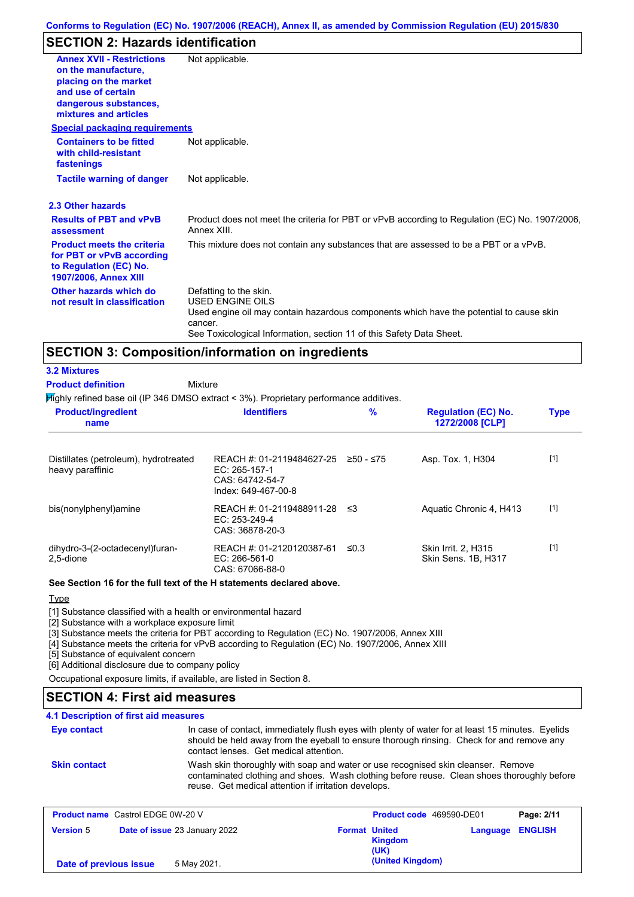## **SECTION 2: Hazards identification**

| <b>Annex XVII - Restrictions</b><br>on the manufacture,<br>placing on the market<br>and use of certain<br>dangerous substances,<br>mixtures and articles | Not applicable.                                                                                                                                                                                                                 |
|----------------------------------------------------------------------------------------------------------------------------------------------------------|---------------------------------------------------------------------------------------------------------------------------------------------------------------------------------------------------------------------------------|
| <b>Special packaging requirements</b>                                                                                                                    |                                                                                                                                                                                                                                 |
| <b>Containers to be fitted</b><br>with child-resistant<br>fastenings                                                                                     | Not applicable.                                                                                                                                                                                                                 |
| <b>Tactile warning of danger</b>                                                                                                                         | Not applicable.                                                                                                                                                                                                                 |
| 2.3 Other hazards                                                                                                                                        |                                                                                                                                                                                                                                 |
| <b>Results of PBT and vPvB</b><br>assessment                                                                                                             | Product does not meet the criteria for PBT or vPvB according to Regulation (EC) No. 1907/2006,<br>Annex XIII.                                                                                                                   |
| <b>Product meets the criteria</b><br>for PBT or vPvB according<br>to Regulation (EC) No.<br><b>1907/2006, Annex XIII</b>                                 | This mixture does not contain any substances that are assessed to be a PBT or a vPvB.                                                                                                                                           |
| Other hazards which do<br>not result in classification                                                                                                   | Defatting to the skin.<br><b>USED ENGINE OILS</b><br>Used engine oil may contain hazardous components which have the potential to cause skin<br>cancer.<br>See Toxicological Information, section 11 of this Safety Data Sheet. |

### **SECTION 3: Composition/information on ingredients**

**Mixture** 

 $H$ ighly refined base oil (IP 346 DMSO extract  $<$  3%). Proprietary performance additives.

| <b>Product/ingredient</b><br>name                         | <b>Identifiers</b>                                                                   | %         | <b>Regulation (EC) No.</b><br>1272/2008 [CLP]     | <b>Type</b> |
|-----------------------------------------------------------|--------------------------------------------------------------------------------------|-----------|---------------------------------------------------|-------------|
| Distillates (petroleum), hydrotreated<br>heavy paraffinic | REACH #: 01-2119484627-25<br>EC: 265-157-1<br>CAS: 64742-54-7<br>Index: 649-467-00-8 | ≥50 - ≤75 | Asp. Tox. 1, H304                                 | $[1]$       |
| bis(nonylphenyl)amine                                     | REACH #: 01-2119488911-28<br>$EC: 253-249-4$<br>CAS: 36878-20-3                      | - ≤3      | Aquatic Chronic 4, H413                           | $[1]$       |
| dihydro-3-(2-octadecenyl)furan-<br>2.5-dione              | REACH #: 01-2120120387-61<br>$EC: 266-561-0$<br>CAS: 67066-88-0                      | ≤0.3      | <b>Skin Irrit. 2. H315</b><br>Skin Sens, 1B, H317 | $[1]$       |

#### **See Section 16 for the full text of the H statements declared above.**

**Type** 

**3.2 Mixtures Product definition**

[1] Substance classified with a health or environmental hazard

[2] Substance with a workplace exposure limit

[3] Substance meets the criteria for PBT according to Regulation (EC) No. 1907/2006, Annex XIII

[4] Substance meets the criteria for vPvB according to Regulation (EC) No. 1907/2006, Annex XIII

[5] Substance of equivalent concern

[6] Additional disclosure due to company policy

Occupational exposure limits, if available, are listed in Section 8.

## **SECTION 4: First aid measures**

#### **4.1 Description of first aid measures**

In case of contact, immediately flush eyes with plenty of water for at least 15 minutes. Eyelids should be held away from the eyeball to ensure thorough rinsing. Check for and remove any contact lenses. Get medical attention. **Eye contact Skin contact** Wash skin thoroughly with soap and water or use recognised skin cleanser. Remove contaminated clothing and shoes. Wash clothing before reuse. Clean shoes thoroughly before reuse. Get medical attention if irritation develops.

| <b>Product name</b> Castrol EDGE 0W-20 V |                               |                      | <b>Product code</b> 469590-DE01 |                         | Page: 2/11 |
|------------------------------------------|-------------------------------|----------------------|---------------------------------|-------------------------|------------|
| <b>Version 5</b>                         | Date of issue 23 January 2022 | <b>Format United</b> | Kingdom<br>(UK)                 | <b>Language ENGLISH</b> |            |
| Date of previous issue                   | 5 May 2021.                   |                      | (United Kingdom)                |                         |            |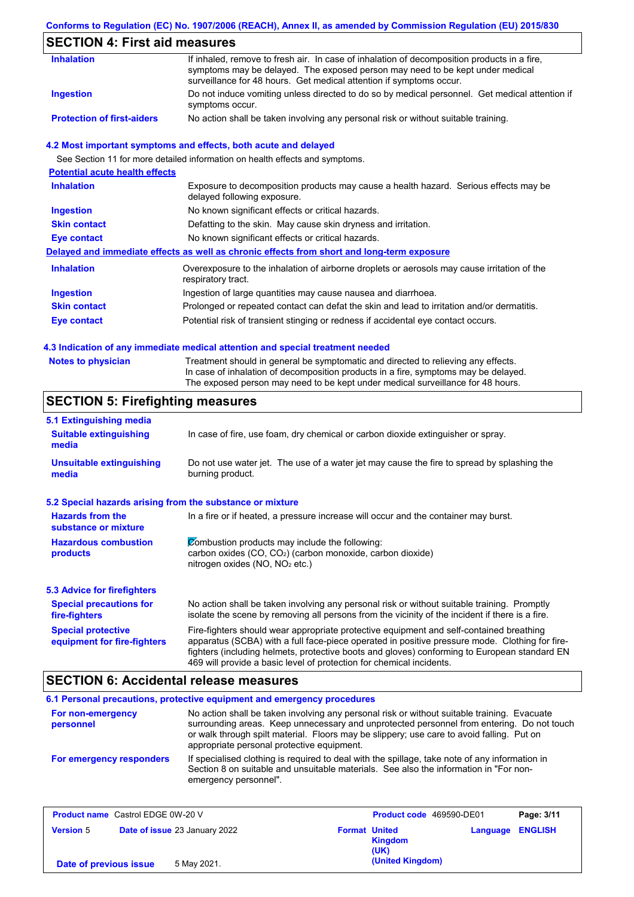### **Conforms to Regulation (EC) No. 1907/2006 (REACH), Annex II, as amended by Commission Regulation (EU) 2015/830**

# **SECTION 4: First aid measures**

| <b>Inhalation</b>                 | If inhaled, remove to fresh air. In case of inhalation of decomposition products in a fire,<br>symptoms may be delayed. The exposed person may need to be kept under medical<br>surveillance for 48 hours. Get medical attention if symptoms occur. |
|-----------------------------------|-----------------------------------------------------------------------------------------------------------------------------------------------------------------------------------------------------------------------------------------------------|
| <b>Ingestion</b>                  | Do not induce vomiting unless directed to do so by medical personnel. Get medical attention if<br>symptoms occur.                                                                                                                                   |
| <b>Protection of first-aiders</b> | No action shall be taken involving any personal risk or without suitable training.                                                                                                                                                                  |

#### **4.2 Most important symptoms and effects, both acute and delayed**

See Section 11 for more detailed information on health effects and symptoms.

| <b>Potential acute health effects</b> |                                                                                                                     |
|---------------------------------------|---------------------------------------------------------------------------------------------------------------------|
| <b>Inhalation</b>                     | Exposure to decomposition products may cause a health hazard. Serious effects may be<br>delayed following exposure. |
| <b>Ingestion</b>                      | No known significant effects or critical hazards.                                                                   |
| <b>Skin contact</b>                   | Defatting to the skin. May cause skin dryness and irritation.                                                       |
| Eye contact                           | No known significant effects or critical hazards.                                                                   |
|                                       | Delayed and immediate effects as well as chronic effects from short and long-term exposure                          |
| <b>Inhalation</b>                     | Overexposure to the inhalation of airborne droplets or aerosols may cause irritation of the<br>respiratory tract.   |
| <b>Ingestion</b>                      | Ingestion of large quantities may cause nausea and diarrhoea.                                                       |
| <b>Skin contact</b>                   | Prolonged or repeated contact can defat the skin and lead to irritation and/or dermatitis.                          |
| Eye contact                           | Potential risk of transient stinging or redness if accidental eye contact occurs.                                   |
|                                       |                                                                                                                     |

#### **4.3 Indication of any immediate medical attention and special treatment needed**

| <b>Notes to physician</b> | Treatment should in general be symptomatic and directed to relieving any effects.   |
|---------------------------|-------------------------------------------------------------------------------------|
|                           | In case of inhalation of decomposition products in a fire, symptoms may be delayed. |
|                           | The exposed person may need to be kept under medical surveillance for 48 hours.     |

# **SECTION 5: Firefighting measures**

| 5.1 Extinguishing media                                   |                                                                                                                                                                                                                                                                                                                                                                   |
|-----------------------------------------------------------|-------------------------------------------------------------------------------------------------------------------------------------------------------------------------------------------------------------------------------------------------------------------------------------------------------------------------------------------------------------------|
| <b>Suitable extinguishing</b><br>media                    | In case of fire, use foam, dry chemical or carbon dioxide extinguisher or spray.                                                                                                                                                                                                                                                                                  |
| <b>Unsuitable extinguishing</b><br>media                  | Do not use water jet. The use of a water jet may cause the fire to spread by splashing the<br>burning product.                                                                                                                                                                                                                                                    |
| 5.2 Special hazards arising from the substance or mixture |                                                                                                                                                                                                                                                                                                                                                                   |
| <b>Hazards from the</b><br>substance or mixture           | In a fire or if heated, a pressure increase will occur and the container may burst.                                                                                                                                                                                                                                                                               |
| <b>Hazardous combustion</b><br>products                   | Combustion products may include the following:<br>carbon oxides (CO, CO <sub>2</sub> ) (carbon monoxide, carbon dioxide)<br>nitrogen oxides (NO, NO <sub>2</sub> etc.)                                                                                                                                                                                            |
| <b>5.3 Advice for firefighters</b>                        |                                                                                                                                                                                                                                                                                                                                                                   |
| <b>Special precautions for</b><br>fire-fighters           | No action shall be taken involving any personal risk or without suitable training. Promptly<br>isolate the scene by removing all persons from the vicinity of the incident if there is a fire.                                                                                                                                                                    |
| <b>Special protective</b><br>equipment for fire-fighters  | Fire-fighters should wear appropriate protective equipment and self-contained breathing<br>apparatus (SCBA) with a full face-piece operated in positive pressure mode. Clothing for fire-<br>fighters (including helmets, protective boots and gloves) conforming to European standard EN<br>469 will provide a basic level of protection for chemical incidents. |

## **SECTION 6: Accidental release measures**

|                                | 6.1 Personal precautions, protective equipment and emergency procedures                                                                                                                                                                                                                                                             |
|--------------------------------|-------------------------------------------------------------------------------------------------------------------------------------------------------------------------------------------------------------------------------------------------------------------------------------------------------------------------------------|
| For non-emergency<br>personnel | No action shall be taken involving any personal risk or without suitable training. Evacuate<br>surrounding areas. Keep unnecessary and unprotected personnel from entering. Do not touch<br>or walk through spilt material. Floors may be slippery; use care to avoid falling. Put on<br>appropriate personal protective equipment. |
| For emergency responders       | If specialised clothing is required to deal with the spillage, take note of any information in<br>Section 8 on suitable and unsuitable materials. See also the information in "For non-<br>emergency personnel".                                                                                                                    |

| <b>Product name</b> Castrol EDGE 0W-20 V |                               |                                                | Product code 469590-DE01<br>Page: 3/11 |
|------------------------------------------|-------------------------------|------------------------------------------------|----------------------------------------|
| <b>Version 5</b>                         | Date of issue 23 January 2022 | <b>Format United</b><br><b>Kingdom</b><br>(UK) | <b>ENGLISH</b><br>Language             |
| Date of previous issue                   | 5 May 2021.                   | (United Kingdom)                               |                                        |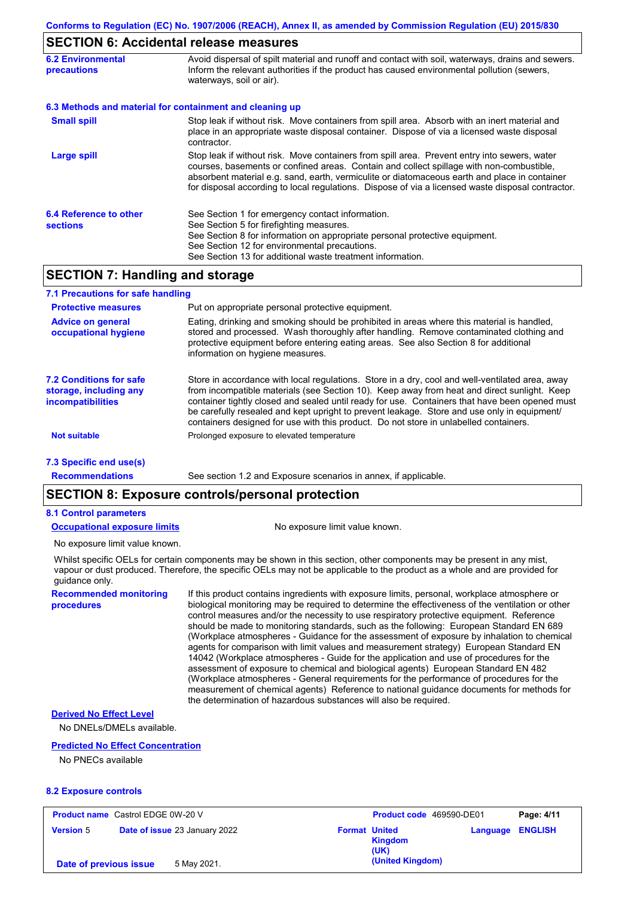### **SECTION 6: Accidental release measures**

| <b>6.2 Environmental</b><br><b>precautions</b>           | Avoid dispersal of spilt material and runoff and contact with soil, waterways, drains and sewers.<br>Inform the relevant authorities if the product has caused environmental pollution (sewers,<br>waterways, soil or air).                                                                                                                                                                    |
|----------------------------------------------------------|------------------------------------------------------------------------------------------------------------------------------------------------------------------------------------------------------------------------------------------------------------------------------------------------------------------------------------------------------------------------------------------------|
| 6.3 Methods and material for containment and cleaning up |                                                                                                                                                                                                                                                                                                                                                                                                |
| <b>Small spill</b>                                       | Stop leak if without risk. Move containers from spill area. Absorb with an inert material and<br>place in an appropriate waste disposal container. Dispose of via a licensed waste disposal<br>contractor.                                                                                                                                                                                     |
| <b>Large spill</b>                                       | Stop leak if without risk. Move containers from spill area. Prevent entry into sewers, water<br>courses, basements or confined areas. Contain and collect spillage with non-combustible,<br>absorbent material e.g. sand, earth, vermiculite or diatomaceous earth and place in container<br>for disposal according to local regulations. Dispose of via a licensed waste disposal contractor. |
| 6.4 Reference to other<br><b>sections</b>                | See Section 1 for emergency contact information.<br>See Section 5 for firefighting measures.<br>See Section 8 for information on appropriate personal protective equipment.<br>See Section 12 for environmental precautions.<br>See Section 13 for additional waste treatment information.                                                                                                     |

## **SECTION 7: Handling and storage**

| 7.1 Precautions for safe handling                                                    |                                                                                                                                                                                                                                                                                                                                                                                                                                                                                          |
|--------------------------------------------------------------------------------------|------------------------------------------------------------------------------------------------------------------------------------------------------------------------------------------------------------------------------------------------------------------------------------------------------------------------------------------------------------------------------------------------------------------------------------------------------------------------------------------|
| <b>Protective measures</b>                                                           | Put on appropriate personal protective equipment.                                                                                                                                                                                                                                                                                                                                                                                                                                        |
| <b>Advice on general</b><br>occupational hygiene                                     | Eating, drinking and smoking should be prohibited in areas where this material is handled,<br>stored and processed. Wash thoroughly after handling. Remove contaminated clothing and<br>protective equipment before entering eating areas. See also Section 8 for additional<br>information on hygiene measures.                                                                                                                                                                         |
| <b>7.2 Conditions for safe</b><br>storage, including any<br><b>incompatibilities</b> | Store in accordance with local requlations. Store in a dry, cool and well-ventilated area, away<br>from incompatible materials (see Section 10). Keep away from heat and direct sunlight. Keep<br>container tightly closed and sealed until ready for use. Containers that have been opened must<br>be carefully resealed and kept upright to prevent leakage. Store and use only in equipment/<br>containers designed for use with this product. Do not store in unlabelled containers. |
| <b>Not suitable</b>                                                                  | Prolonged exposure to elevated temperature                                                                                                                                                                                                                                                                                                                                                                                                                                               |
| 7.3 Specific end use(s)                                                              |                                                                                                                                                                                                                                                                                                                                                                                                                                                                                          |
| <b>Recommendations</b>                                                               | See section 1.2 and Exposure scenarios in annex, if applicable.                                                                                                                                                                                                                                                                                                                                                                                                                          |

## **SECTION 8: Exposure controls/personal protection**

#### **8.1 Control parameters**

**Occupational exposure limits** No exposure limit value known.

No exposure limit value known.

Whilst specific OELs for certain components may be shown in this section, other components may be present in any mist, vapour or dust produced. Therefore, the specific OELs may not be applicable to the product as a whole and are provided for guidance only.

**Recommended monitoring procedures**

If this product contains ingredients with exposure limits, personal, workplace atmosphere or biological monitoring may be required to determine the effectiveness of the ventilation or other control measures and/or the necessity to use respiratory protective equipment. Reference should be made to monitoring standards, such as the following: European Standard EN 689 (Workplace atmospheres - Guidance for the assessment of exposure by inhalation to chemical agents for comparison with limit values and measurement strategy) European Standard EN 14042 (Workplace atmospheres - Guide for the application and use of procedures for the assessment of exposure to chemical and biological agents) European Standard EN 482 (Workplace atmospheres - General requirements for the performance of procedures for the measurement of chemical agents) Reference to national guidance documents for methods for the determination of hazardous substances will also be required.

#### **Derived No Effect Level**

No DNELs/DMELs available.

#### **Predicted No Effect Concentration**

No PNECs available

#### **8.2 Exposure controls**

| <b>Product name</b> Castrol EDGE 0W-20 V |  | <b>Product code</b> 469590-DE01 |                      | Page: 4/11      |                         |  |
|------------------------------------------|--|---------------------------------|----------------------|-----------------|-------------------------|--|
| <b>Version 5</b>                         |  | Date of issue 23 January 2022   | <b>Format United</b> | Kingdom<br>(UK) | <b>Language ENGLISH</b> |  |
| 5 May 2021.<br>Date of previous issue    |  |                                 | (United Kingdom)     |                 |                         |  |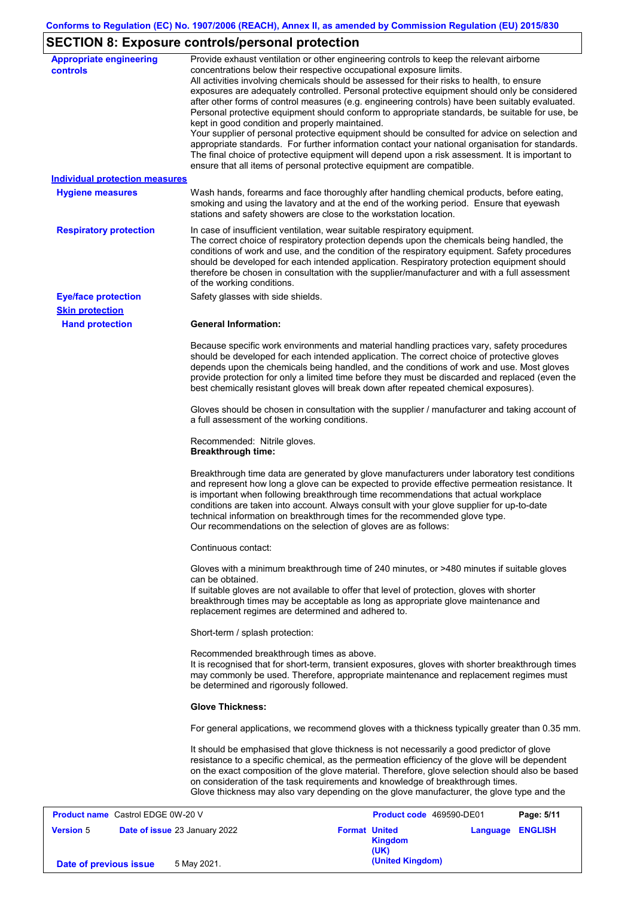# **SECTION 8: Exposure controls/personal protection**

| <b>Appropriate engineering</b><br>controls | Provide exhaust ventilation or other engineering controls to keep the relevant airborne<br>concentrations below their respective occupational exposure limits.<br>All activities involving chemicals should be assessed for their risks to health, to ensure<br>exposures are adequately controlled. Personal protective equipment should only be considered<br>after other forms of control measures (e.g. engineering controls) have been suitably evaluated.<br>Personal protective equipment should conform to appropriate standards, be suitable for use, be<br>kept in good condition and properly maintained.<br>Your supplier of personal protective equipment should be consulted for advice on selection and<br>appropriate standards. For further information contact your national organisation for standards.<br>The final choice of protective equipment will depend upon a risk assessment. It is important to<br>ensure that all items of personal protective equipment are compatible. |
|--------------------------------------------|---------------------------------------------------------------------------------------------------------------------------------------------------------------------------------------------------------------------------------------------------------------------------------------------------------------------------------------------------------------------------------------------------------------------------------------------------------------------------------------------------------------------------------------------------------------------------------------------------------------------------------------------------------------------------------------------------------------------------------------------------------------------------------------------------------------------------------------------------------------------------------------------------------------------------------------------------------------------------------------------------------|
| <b>Individual protection measures</b>      |                                                                                                                                                                                                                                                                                                                                                                                                                                                                                                                                                                                                                                                                                                                                                                                                                                                                                                                                                                                                         |
| <b>Hygiene measures</b>                    | Wash hands, forearms and face thoroughly after handling chemical products, before eating,<br>smoking and using the lavatory and at the end of the working period. Ensure that eyewash<br>stations and safety showers are close to the workstation location.                                                                                                                                                                                                                                                                                                                                                                                                                                                                                                                                                                                                                                                                                                                                             |
| <b>Respiratory protection</b>              | In case of insufficient ventilation, wear suitable respiratory equipment.<br>The correct choice of respiratory protection depends upon the chemicals being handled, the<br>conditions of work and use, and the condition of the respiratory equipment. Safety procedures<br>should be developed for each intended application. Respiratory protection equipment should<br>therefore be chosen in consultation with the supplier/manufacturer and with a full assessment<br>of the working conditions.                                                                                                                                                                                                                                                                                                                                                                                                                                                                                                   |
| <b>Eye/face protection</b>                 | Safety glasses with side shields.                                                                                                                                                                                                                                                                                                                                                                                                                                                                                                                                                                                                                                                                                                                                                                                                                                                                                                                                                                       |
| <b>Skin protection</b>                     |                                                                                                                                                                                                                                                                                                                                                                                                                                                                                                                                                                                                                                                                                                                                                                                                                                                                                                                                                                                                         |
| <b>Hand protection</b>                     | <b>General Information:</b>                                                                                                                                                                                                                                                                                                                                                                                                                                                                                                                                                                                                                                                                                                                                                                                                                                                                                                                                                                             |
|                                            | Because specific work environments and material handling practices vary, safety procedures<br>should be developed for each intended application. The correct choice of protective gloves<br>depends upon the chemicals being handled, and the conditions of work and use. Most gloves<br>provide protection for only a limited time before they must be discarded and replaced (even the<br>best chemically resistant gloves will break down after repeated chemical exposures).                                                                                                                                                                                                                                                                                                                                                                                                                                                                                                                        |
|                                            | Gloves should be chosen in consultation with the supplier / manufacturer and taking account of<br>a full assessment of the working conditions.                                                                                                                                                                                                                                                                                                                                                                                                                                                                                                                                                                                                                                                                                                                                                                                                                                                          |
|                                            | Recommended: Nitrile gloves.<br><b>Breakthrough time:</b>                                                                                                                                                                                                                                                                                                                                                                                                                                                                                                                                                                                                                                                                                                                                                                                                                                                                                                                                               |
|                                            | Breakthrough time data are generated by glove manufacturers under laboratory test conditions<br>and represent how long a glove can be expected to provide effective permeation resistance. It<br>is important when following breakthrough time recommendations that actual workplace<br>conditions are taken into account. Always consult with your glove supplier for up-to-date<br>technical information on breakthrough times for the recommended glove type.<br>Our recommendations on the selection of gloves are as follows:                                                                                                                                                                                                                                                                                                                                                                                                                                                                      |
|                                            | Continuous contact:                                                                                                                                                                                                                                                                                                                                                                                                                                                                                                                                                                                                                                                                                                                                                                                                                                                                                                                                                                                     |
|                                            | Gloves with a minimum breakthrough time of 240 minutes, or >480 minutes if suitable gloves<br>can be obtained.                                                                                                                                                                                                                                                                                                                                                                                                                                                                                                                                                                                                                                                                                                                                                                                                                                                                                          |
|                                            | If suitable gloves are not available to offer that level of protection, gloves with shorter<br>breakthrough times may be acceptable as long as appropriate glove maintenance and<br>replacement regimes are determined and adhered to.                                                                                                                                                                                                                                                                                                                                                                                                                                                                                                                                                                                                                                                                                                                                                                  |
|                                            | Short-term / splash protection:                                                                                                                                                                                                                                                                                                                                                                                                                                                                                                                                                                                                                                                                                                                                                                                                                                                                                                                                                                         |
|                                            | Recommended breakthrough times as above.<br>It is recognised that for short-term, transient exposures, gloves with shorter breakthrough times<br>may commonly be used. Therefore, appropriate maintenance and replacement regimes must<br>be determined and rigorously followed.                                                                                                                                                                                                                                                                                                                                                                                                                                                                                                                                                                                                                                                                                                                        |
|                                            | <b>Glove Thickness:</b>                                                                                                                                                                                                                                                                                                                                                                                                                                                                                                                                                                                                                                                                                                                                                                                                                                                                                                                                                                                 |
|                                            | For general applications, we recommend gloves with a thickness typically greater than 0.35 mm.                                                                                                                                                                                                                                                                                                                                                                                                                                                                                                                                                                                                                                                                                                                                                                                                                                                                                                          |
|                                            | It should be emphasised that glove thickness is not necessarily a good predictor of glove<br>resistance to a specific chemical, as the permeation efficiency of the glove will be dependent<br>on the exact composition of the glove material. Therefore, glove selection should also be based<br>on consideration of the task requirements and knowledge of breakthrough times.<br>Glove thickness may also vary depending on the glove manufacturer, the glove type and the                                                                                                                                                                                                                                                                                                                                                                                                                                                                                                                           |
| <b>Product name</b> Castrol EDGE 0W-20 V   | Product code 469590-DE01<br>Page: 5/11                                                                                                                                                                                                                                                                                                                                                                                                                                                                                                                                                                                                                                                                                                                                                                                                                                                                                                                                                                  |

| <b>Product name</b> Castrol EDGE 0W-20 V |                               | Product code 469590-DE01                       |                         | Page: 5/11 |
|------------------------------------------|-------------------------------|------------------------------------------------|-------------------------|------------|
| <b>Version 5</b>                         | Date of issue 23 January 2022 | <b>Format United</b><br><b>Kingdom</b><br>(UK) | <b>Language ENGLISH</b> |            |
| Date of previous issue                   | 5 May 2021.                   | (United Kingdom)                               |                         |            |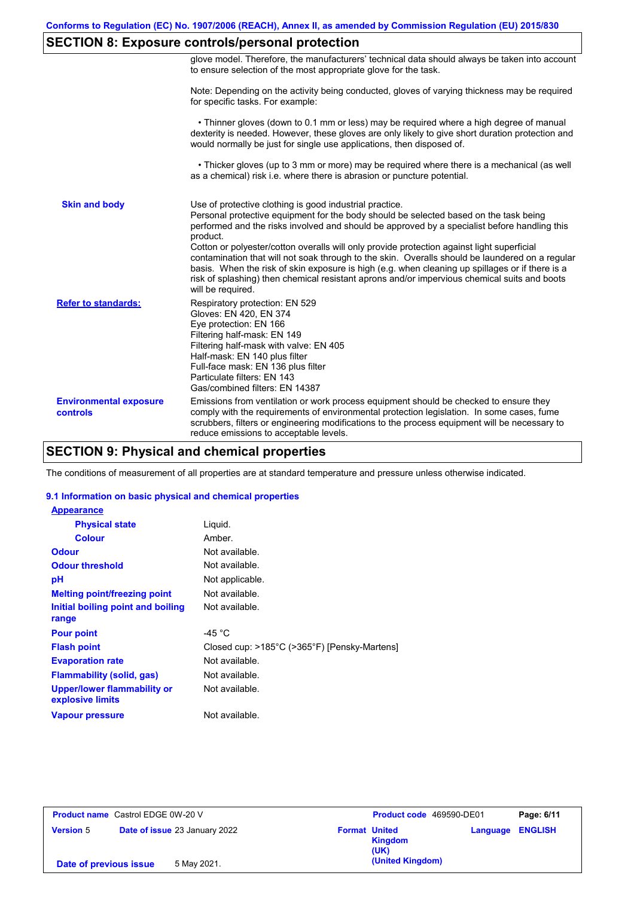# **SECTION 8: Exposure controls/personal protection**

|                                           | glove model. Therefore, the manufacturers' technical data should always be taken into account<br>to ensure selection of the most appropriate glove for the task.                                                                                                                                                                                                                                                                                                                                                                                                                                                                                                                      |
|-------------------------------------------|---------------------------------------------------------------------------------------------------------------------------------------------------------------------------------------------------------------------------------------------------------------------------------------------------------------------------------------------------------------------------------------------------------------------------------------------------------------------------------------------------------------------------------------------------------------------------------------------------------------------------------------------------------------------------------------|
|                                           | Note: Depending on the activity being conducted, gloves of varying thickness may be required<br>for specific tasks. For example:                                                                                                                                                                                                                                                                                                                                                                                                                                                                                                                                                      |
|                                           | • Thinner gloves (down to 0.1 mm or less) may be required where a high degree of manual<br>dexterity is needed. However, these gloves are only likely to give short duration protection and<br>would normally be just for single use applications, then disposed of.                                                                                                                                                                                                                                                                                                                                                                                                                  |
|                                           | • Thicker gloves (up to 3 mm or more) may be required where there is a mechanical (as well<br>as a chemical) risk i.e. where there is abrasion or puncture potential.                                                                                                                                                                                                                                                                                                                                                                                                                                                                                                                 |
| <b>Skin and body</b>                      | Use of protective clothing is good industrial practice.<br>Personal protective equipment for the body should be selected based on the task being<br>performed and the risks involved and should be approved by a specialist before handling this<br>product.<br>Cotton or polyester/cotton overalls will only provide protection against light superficial<br>contamination that will not soak through to the skin. Overalls should be laundered on a regular<br>basis. When the risk of skin exposure is high (e.g. when cleaning up spillages or if there is a<br>risk of splashing) then chemical resistant aprons and/or impervious chemical suits and boots<br>will be required. |
| <b>Refer to standards:</b>                | Respiratory protection: EN 529<br>Gloves: EN 420, EN 374<br>Eye protection: EN 166<br>Filtering half-mask: EN 149<br>Filtering half-mask with valve: EN 405<br>Half-mask: EN 140 plus filter<br>Full-face mask: EN 136 plus filter<br>Particulate filters: EN 143<br>Gas/combined filters: EN 14387                                                                                                                                                                                                                                                                                                                                                                                   |
| <b>Environmental exposure</b><br>controls | Emissions from ventilation or work process equipment should be checked to ensure they<br>comply with the requirements of environmental protection legislation. In some cases, fume<br>scrubbers, filters or engineering modifications to the process equipment will be necessary to<br>reduce emissions to acceptable levels.                                                                                                                                                                                                                                                                                                                                                         |

# **SECTION 9: Physical and chemical properties**

The conditions of measurement of all properties are at standard temperature and pressure unless otherwise indicated.

#### **9.1 Information on basic physical and chemical properties**

| <b>Appearance</b>                                      |                                              |
|--------------------------------------------------------|----------------------------------------------|
| <b>Physical state</b>                                  | Liguid.                                      |
| <b>Colour</b>                                          | Amber.                                       |
| <b>Odour</b>                                           | Not available.                               |
| <b>Odour threshold</b>                                 | Not available.                               |
| рH                                                     | Not applicable.                              |
| <b>Melting point/freezing point</b>                    | Not available.                               |
| Initial boiling point and boiling<br>range             | Not available.                               |
| <b>Pour point</b>                                      | -45 $^{\circ}$ C                             |
| <b>Flash point</b>                                     | Closed cup: >185°C (>365°F) [Pensky-Martens] |
| <b>Evaporation rate</b>                                | Not available.                               |
| Flammability (solid, gas)                              | Not available.                               |
| <b>Upper/lower flammability or</b><br>explosive limits | Not available.                               |
| Vapour pressure                                        | Not available.                               |

| <b>Product name</b> Castrol EDGE 0W-20 V |                               | Product code 469590-DE01<br>Page: 6/11                                    |
|------------------------------------------|-------------------------------|---------------------------------------------------------------------------|
| <b>Version 5</b>                         | Date of issue 23 January 2022 | <b>Format United</b><br><b>Language ENGLISH</b><br><b>Kingdom</b><br>(UK) |
| 5 May 2021.<br>Date of previous issue    |                               | (United Kingdom)                                                          |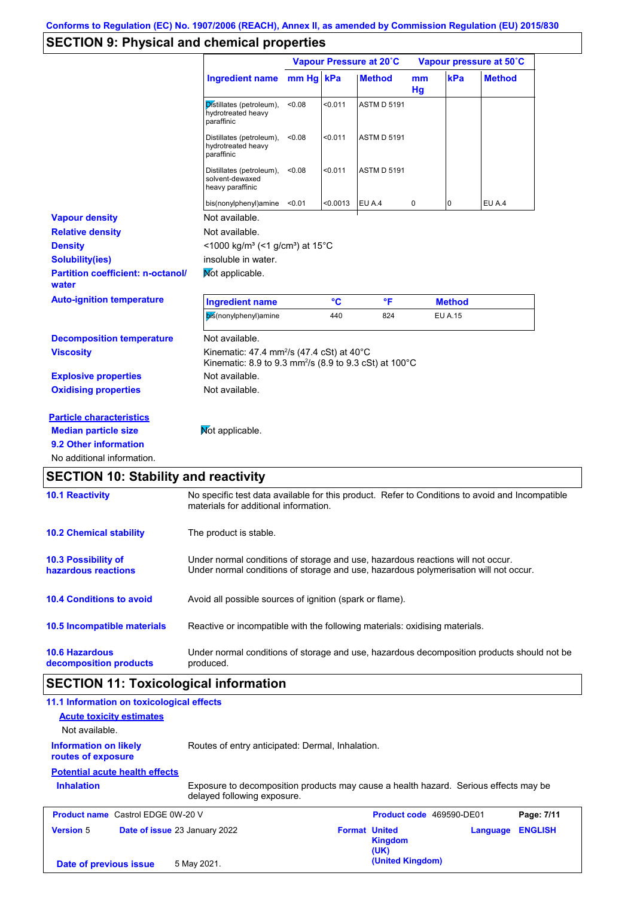# **SECTION 9: Physical and chemical properties**

|                                                   |                                                                                                                                       |           | Vapour Pressure at 20°C |                    | Vapour pressure at 50°C |                |               |
|---------------------------------------------------|---------------------------------------------------------------------------------------------------------------------------------------|-----------|-------------------------|--------------------|-------------------------|----------------|---------------|
|                                                   | <b>Ingredient name</b>                                                                                                                | mm Hg kPa |                         | <b>Method</b>      | m <sub>m</sub><br>Hg    | kPa            | <b>Method</b> |
|                                                   | Distillates (petroleum),<br>hydrotreated heavy<br>paraffinic                                                                          | < 0.08    | < 0.011                 | <b>ASTM D 5191</b> |                         |                |               |
|                                                   | Distillates (petroleum),<br>hydrotreated heavy<br>paraffinic                                                                          | < 0.08    | < 0.011                 | <b>ASTM D 5191</b> |                         |                |               |
|                                                   | Distillates (petroleum),<br>solvent-dewaxed<br>heavy paraffinic                                                                       | < 0.08    | < 0.011                 | <b>ASTM D 5191</b> |                         |                |               |
|                                                   | bis(nonylphenyl)amine                                                                                                                 | < 0.01    | < 0.0013                | EU A.4             | 0                       | $\overline{0}$ | EU A.4        |
| <b>Vapour density</b>                             | Not available.                                                                                                                        |           |                         |                    |                         |                |               |
| <b>Relative density</b>                           | Not available.                                                                                                                        |           |                         |                    |                         |                |               |
| <b>Density</b>                                    | <1000 kg/m <sup>3</sup> (<1 g/cm <sup>3</sup> ) at 15°C                                                                               |           |                         |                    |                         |                |               |
| <b>Solubility(ies)</b>                            | insoluble in water.                                                                                                                   |           |                         |                    |                         |                |               |
| <b>Partition coefficient: n-octanol/</b><br>water | Mot applicable.                                                                                                                       |           |                         |                    |                         |                |               |
| <b>Auto-ignition temperature</b>                  | <b>Ingredient name</b>                                                                                                                |           | °C                      | °F                 |                         | <b>Method</b>  |               |
|                                                   | bis(nonylphenyl)amine                                                                                                                 |           | 440                     | 824                |                         | EU A.15        |               |
| <b>Decomposition temperature</b>                  | Not available.                                                                                                                        |           |                         |                    |                         |                |               |
| <b>Viscosity</b>                                  | Kinematic: 47.4 mm <sup>2</sup> /s (47.4 cSt) at $40^{\circ}$ C<br>Kinematic: 8.9 to 9.3 mm <sup>2</sup> /s (8.9 to 9.3 cSt) at 100°C |           |                         |                    |                         |                |               |
| <b>Explosive properties</b>                       | Not available.                                                                                                                        |           |                         |                    |                         |                |               |
| <b>Oxidising properties</b>                       | Not available.                                                                                                                        |           |                         |                    |                         |                |               |
| <b>Particle characteristics</b>                   |                                                                                                                                       |           |                         |                    |                         |                |               |
| <b>Median particle size</b>                       | Not applicable.                                                                                                                       |           |                         |                    |                         |                |               |
| 9.2 Other information                             |                                                                                                                                       |           |                         |                    |                         |                |               |
|                                                   |                                                                                                                                       |           |                         |                    |                         |                |               |

# **SECTION 10: Stability and reactivity**

| <b>10.1 Reactivity</b>                            | No specific test data available for this product. Refer to Conditions to avoid and Incompatible<br>materials for additional information.                                |
|---------------------------------------------------|-------------------------------------------------------------------------------------------------------------------------------------------------------------------------|
| <b>10.2 Chemical stability</b>                    | The product is stable.                                                                                                                                                  |
| <b>10.3 Possibility of</b><br>hazardous reactions | Under normal conditions of storage and use, hazardous reactions will not occur.<br>Under normal conditions of storage and use, hazardous polymerisation will not occur. |
| <b>10.4 Conditions to avoid</b>                   | Avoid all possible sources of ignition (spark or flame).                                                                                                                |
| 10.5 Incompatible materials                       | Reactive or incompatible with the following materials: oxidising materials.                                                                                             |
| <b>10.6 Hazardous</b><br>decomposition products   | Under normal conditions of storage and use, hazardous decomposition products should not be<br>produced.                                                                 |

# **SECTION 11: Toxicological information**

| 11.1 Information on toxicological effects<br><b>Acute toxicity estimates</b><br>Not available. |                                                                                                                     |                      |                                 |          |                |
|------------------------------------------------------------------------------------------------|---------------------------------------------------------------------------------------------------------------------|----------------------|---------------------------------|----------|----------------|
| <b>Information on likely</b><br>routes of exposure                                             | Routes of entry anticipated: Dermal, Inhalation.                                                                    |                      |                                 |          |                |
| <b>Potential acute health effects</b><br><b>Inhalation</b>                                     | Exposure to decomposition products may cause a health hazard. Serious effects may be<br>delayed following exposure. |                      |                                 |          |                |
| <b>Product name</b> Castrol EDGE 0W-20 V                                                       |                                                                                                                     |                      | <b>Product code</b> 469590-DE01 |          | Page: 7/11     |
| <b>Version 5</b><br>Date of issue 23 January 2022                                              |                                                                                                                     | <b>Format United</b> | <b>Kingdom</b><br>(UK)          | Language | <b>ENGLISH</b> |
| Date of previous issue                                                                         | 5 May 2021.                                                                                                         |                      | (United Kingdom)                |          |                |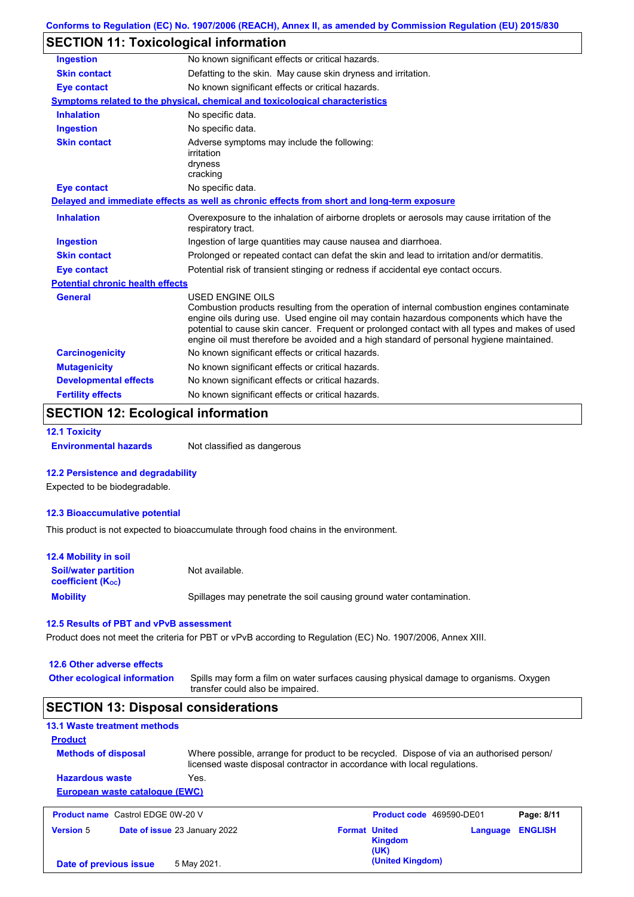# **SECTION 11: Toxicological information**

| <b>Ingestion</b>                        | No known significant effects or critical hazards.                                                                                                                                                                                                                                                                                                                                                               |
|-----------------------------------------|-----------------------------------------------------------------------------------------------------------------------------------------------------------------------------------------------------------------------------------------------------------------------------------------------------------------------------------------------------------------------------------------------------------------|
| <b>Skin contact</b>                     | Defatting to the skin. May cause skin dryness and irritation.                                                                                                                                                                                                                                                                                                                                                   |
| <b>Eye contact</b>                      | No known significant effects or critical hazards.                                                                                                                                                                                                                                                                                                                                                               |
|                                         | <b>Symptoms related to the physical, chemical and toxicological characteristics</b>                                                                                                                                                                                                                                                                                                                             |
| <b>Inhalation</b>                       | No specific data.                                                                                                                                                                                                                                                                                                                                                                                               |
| <b>Ingestion</b>                        | No specific data.                                                                                                                                                                                                                                                                                                                                                                                               |
| <b>Skin contact</b>                     | Adverse symptoms may include the following:<br>irritation<br>dryness<br>cracking                                                                                                                                                                                                                                                                                                                                |
| <b>Eye contact</b>                      | No specific data.                                                                                                                                                                                                                                                                                                                                                                                               |
|                                         | Delayed and immediate effects as well as chronic effects from short and long-term exposure                                                                                                                                                                                                                                                                                                                      |
| <b>Inhalation</b>                       | Overexposure to the inhalation of airborne droplets or aerosols may cause irritation of the<br>respiratory tract.                                                                                                                                                                                                                                                                                               |
| <b>Ingestion</b>                        | Ingestion of large quantities may cause nausea and diarrhoea.                                                                                                                                                                                                                                                                                                                                                   |
| <b>Skin contact</b>                     | Prolonged or repeated contact can defat the skin and lead to irritation and/or dermatitis.                                                                                                                                                                                                                                                                                                                      |
| <b>Eye contact</b>                      | Potential risk of transient stinging or redness if accidental eye contact occurs.                                                                                                                                                                                                                                                                                                                               |
| <b>Potential chronic health effects</b> |                                                                                                                                                                                                                                                                                                                                                                                                                 |
| <b>General</b>                          | <b>USED ENGINE OILS</b><br>Combustion products resulting from the operation of internal combustion engines contaminate<br>engine oils during use. Used engine oil may contain hazardous components which have the<br>potential to cause skin cancer. Frequent or prolonged contact with all types and makes of used<br>engine oil must therefore be avoided and a high standard of personal hygiene maintained. |
| <b>Carcinogenicity</b>                  | No known significant effects or critical hazards.                                                                                                                                                                                                                                                                                                                                                               |
| <b>Mutagenicity</b>                     | No known significant effects or critical hazards.                                                                                                                                                                                                                                                                                                                                                               |
| <b>Developmental effects</b>            | No known significant effects or critical hazards.                                                                                                                                                                                                                                                                                                                                                               |
| <b>Fertility effects</b>                | No known significant effects or critical hazards.                                                                                                                                                                                                                                                                                                                                                               |

# **SECTION 12: Ecological information**

**12.1 Toxicity**

**Environmental hazards** Not classified as dangerous

#### **12.2 Persistence and degradability**

Expected to be biodegradable.

#### **12.3 Bioaccumulative potential**

This product is not expected to bioaccumulate through food chains in the environment.

| <b>12.4 Mobility in soil</b>                            |                                                                      |
|---------------------------------------------------------|----------------------------------------------------------------------|
| <b>Soil/water partition</b><br><b>coefficient (Koc)</b> | Not available.                                                       |
| <b>Mobility</b>                                         | Spillages may penetrate the soil causing ground water contamination. |

#### **12.5 Results of PBT and vPvB assessment**

Product does not meet the criteria for PBT or vPvB according to Regulation (EC) No. 1907/2006, Annex XIII.

#### **12.6 Other adverse effects**

**Other ecological information**

Spills may form a film on water surfaces causing physical damage to organisms. Oxygen transfer could also be impaired.

## **SECTION 13: Disposal considerations**

| 13.1 Waste treatment methods             |                                                                                                                                                                      |                                 |            |
|------------------------------------------|----------------------------------------------------------------------------------------------------------------------------------------------------------------------|---------------------------------|------------|
| <b>Product</b>                           |                                                                                                                                                                      |                                 |            |
| <b>Methods of disposal</b>               | Where possible, arrange for product to be recycled. Dispose of via an authorised person/<br>licensed waste disposal contractor in accordance with local regulations. |                                 |            |
| <b>Hazardous waste</b>                   | Yes.                                                                                                                                                                 |                                 |            |
| European waste catalogue (EWC)           |                                                                                                                                                                      |                                 |            |
| <b>Product name</b> Castrol EDGE 0W-20 V |                                                                                                                                                                      | <b>Product code</b> 469590-DE01 | Page: 8/11 |

| <b>FIGURE HAIR CASHOLLDOL ON ZU V</b> |                                      |                      | FI <b>UGUL CUUS</b> TUJJJU-DEVI |          | гач <del>с</del> . ол п |
|---------------------------------------|--------------------------------------|----------------------|---------------------------------|----------|-------------------------|
| <b>Version 5</b>                      | <b>Date of issue 23 January 2022</b> | <b>Format United</b> |                                 | Language | <b>ENGLISH</b>          |
|                                       |                                      |                      | Kingdom                         |          |                         |
|                                       |                                      |                      | (UK)                            |          |                         |
| Date of previous issue                | 5 May 2021.                          |                      | (United Kingdom)                |          |                         |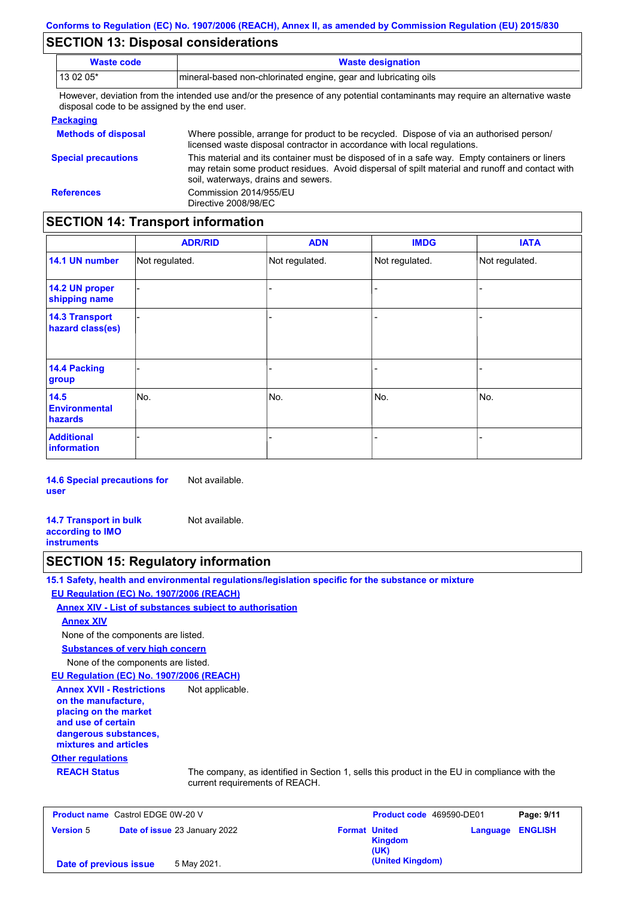## **SECTION 13: Disposal considerations**

| <b>Waste code</b>                             | <b>Waste designation</b>                                                                                                                                                                                                                |
|-----------------------------------------------|-----------------------------------------------------------------------------------------------------------------------------------------------------------------------------------------------------------------------------------------|
| 13 02 05*                                     | mineral-based non-chlorinated engine, gear and lubricating oils                                                                                                                                                                         |
| disposal code to be assigned by the end user. | However, deviation from the intended use and/or the presence of any potential contaminants may require an alternative waste                                                                                                             |
| <b>Packaging</b>                              |                                                                                                                                                                                                                                         |
| <b>Methods of disposal</b>                    | Where possible, arrange for product to be recycled. Dispose of via an authorised person/<br>licensed waste disposal contractor in accordance with local regulations.                                                                    |
| <b>Special precautions</b>                    | This material and its container must be disposed of in a safe way. Empty containers or liners<br>may retain some product residues. Avoid dispersal of spilt material and runoff and contact with<br>soil, waterways, drains and sewers. |
| <b>References</b>                             | Commission 2014/955/EU                                                                                                                                                                                                                  |

## **SECTION 14: Transport information**

Directive 2008/98/EC

|                                           | <b>ADR/RID</b> | <b>ADN</b>     | <b>IMDG</b>              | <b>IATA</b>    |
|-------------------------------------------|----------------|----------------|--------------------------|----------------|
| 14.1 UN number                            | Not regulated. | Not regulated. | Not regulated.           | Not regulated. |
| 14.2 UN proper<br>shipping name           |                |                |                          |                |
| <b>14.3 Transport</b><br>hazard class(es) |                |                | $\overline{\phantom{0}}$ |                |
| 14.4 Packing<br>group                     |                |                | $\blacksquare$           |                |
| 14.5<br><b>Environmental</b><br>hazards   | No.            | No.            | No.                      | No.            |
| <b>Additional</b><br>information          |                |                |                          |                |

**14.6 Special precautions for user** Not available.

**14.7 Transport in bulk according to IMO instruments** Not available.

### **SECTION 15: Regulatory information**

**15.1 Safety, health and environmental regulations/legislation specific for the substance or mixture EU Regulation (EC) No. 1907/2006 (REACH)**

**Annex XIV - List of substances subject to authorisation**

#### **Annex XIV**

None of the components are listed.

**Substances of very high concern**

None of the components are listed.

**EU Regulation (EC) No. 1907/2006 (REACH)**

**Annex XVII - Restrictions on the manufacture, placing on the market and use of certain dangerous substances, mixtures and articles** Not applicable.

#### **Other regulations**

**REACH Status** The company, as identified in Section 1, sells this product in the EU in compliance with the current requirements of REACH.

| <b>Product name</b> Castrol EDGE 0W-20 V |                               |                      | <b>Product code</b> 469590-DE01 |                         | Page: 9/11 |
|------------------------------------------|-------------------------------|----------------------|---------------------------------|-------------------------|------------|
| <b>Version 5</b>                         | Date of issue 23 January 2022 | <b>Format United</b> | <b>Kingdom</b><br>(UK)          | <b>Language ENGLISH</b> |            |
| Date of previous issue                   | 5 May 2021.                   |                      | (United Kingdom)                |                         |            |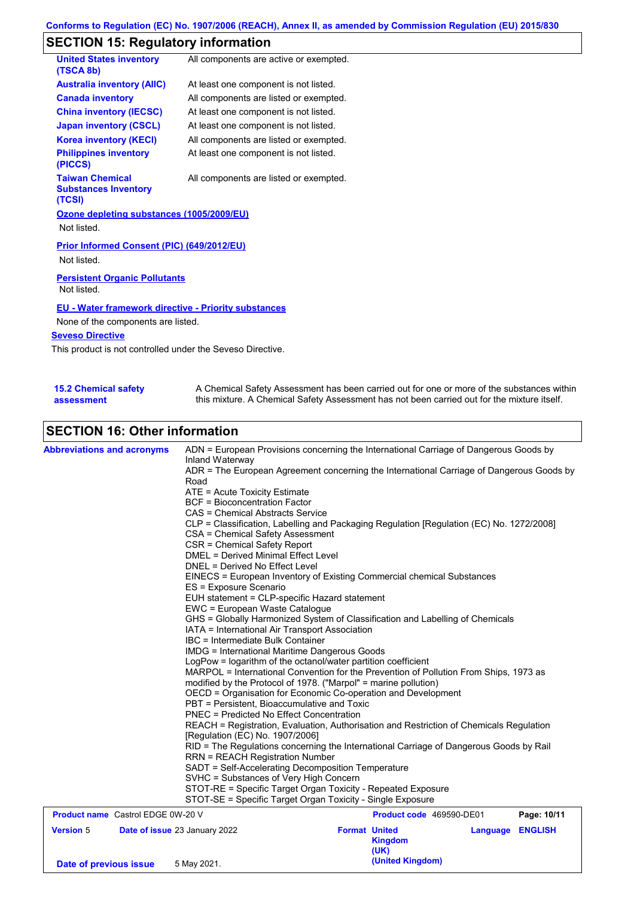# **SECTION 15: Regulatory information**

| <b>United States inventory</b><br>(TSCA 8b)                     | All components are active or exempted. |
|-----------------------------------------------------------------|----------------------------------------|
| <b>Australia inventory (AIIC)</b>                               | At least one component is not listed.  |
| <b>Canada inventory</b>                                         | All components are listed or exempted. |
| <b>China inventory (IECSC)</b>                                  | At least one component is not listed.  |
| <b>Japan inventory (CSCL)</b>                                   | At least one component is not listed.  |
| <b>Korea inventory (KECI)</b>                                   | All components are listed or exempted. |
| <b>Philippines inventory</b><br>(PICCS)                         | At least one component is not listed.  |
| <b>Taiwan Chemical</b><br><b>Substances Inventory</b><br>(TCSI) | All components are listed or exempted. |
| Ozone depleting substances (1005/2009/EU)                       |                                        |
| Not listed.                                                     |                                        |
| Prior Informed Consent (PIC) (649/2012/EU)<br>Not listed.       |                                        |
| <b>Persistent Organic Pollutants</b><br>Not listed.             |                                        |

#### **EU - Water framework directive - Priority substances**

None of the components are listed.

#### **Seveso Directive**

This product is not controlled under the Seveso Directive.

| <b>15.2 Chemical safety</b> | A Chemical Safety Assessment has been carried out for one or more of the substances within  |
|-----------------------------|---------------------------------------------------------------------------------------------|
| assessment                  | this mixture. A Chemical Safety Assessment has not been carried out for the mixture itself. |

# **SECTION 16: Other information**

| <b>Abbreviations and acronyms</b>        | ADN = European Provisions concerning the International Carriage of Dangerous Goods by<br>Inland Waterway<br>ADR = The European Agreement concerning the International Carriage of Dangerous Goods by<br>Road   |                                                                                                                                  |                          |                  |             |  |  |  |
|------------------------------------------|----------------------------------------------------------------------------------------------------------------------------------------------------------------------------------------------------------------|----------------------------------------------------------------------------------------------------------------------------------|--------------------------|------------------|-------------|--|--|--|
|                                          |                                                                                                                                                                                                                |                                                                                                                                  |                          |                  |             |  |  |  |
|                                          | ATE = Acute Toxicity Estimate                                                                                                                                                                                  |                                                                                                                                  |                          |                  |             |  |  |  |
|                                          | <b>BCF</b> = Bioconcentration Factor                                                                                                                                                                           |                                                                                                                                  |                          |                  |             |  |  |  |
|                                          | CAS = Chemical Abstracts Service                                                                                                                                                                               |                                                                                                                                  |                          |                  |             |  |  |  |
|                                          |                                                                                                                                                                                                                | CLP = Classification, Labelling and Packaging Regulation [Regulation (EC) No. 1272/2008]                                         |                          |                  |             |  |  |  |
|                                          | CSA = Chemical Safety Assessment                                                                                                                                                                               |                                                                                                                                  |                          |                  |             |  |  |  |
|                                          | CSR = Chemical Safety Report                                                                                                                                                                                   |                                                                                                                                  |                          |                  |             |  |  |  |
|                                          | <b>DMEL = Derived Minimal Effect Level</b>                                                                                                                                                                     |                                                                                                                                  |                          |                  |             |  |  |  |
|                                          |                                                                                                                                                                                                                | DNEL = Derived No Effect Level                                                                                                   |                          |                  |             |  |  |  |
|                                          | EINECS = European Inventory of Existing Commercial chemical Substances<br>ES = Exposure Scenario                                                                                                               |                                                                                                                                  |                          |                  |             |  |  |  |
|                                          |                                                                                                                                                                                                                | EUH statement = CLP-specific Hazard statement                                                                                    |                          |                  |             |  |  |  |
|                                          | EWC = European Waste Catalogue                                                                                                                                                                                 |                                                                                                                                  |                          |                  |             |  |  |  |
|                                          | GHS = Globally Harmonized System of Classification and Labelling of Chemicals<br>IATA = International Air Transport Association<br>IBC = Intermediate Bulk Container                                           |                                                                                                                                  |                          |                  |             |  |  |  |
|                                          |                                                                                                                                                                                                                |                                                                                                                                  |                          |                  |             |  |  |  |
|                                          |                                                                                                                                                                                                                |                                                                                                                                  |                          |                  |             |  |  |  |
|                                          | <b>IMDG</b> = International Maritime Dangerous Goods<br>LogPow = logarithm of the octanol/water partition coefficient<br>MARPOL = International Convention for the Prevention of Pollution From Ships, 1973 as |                                                                                                                                  |                          |                  |             |  |  |  |
|                                          |                                                                                                                                                                                                                |                                                                                                                                  |                          |                  |             |  |  |  |
|                                          |                                                                                                                                                                                                                |                                                                                                                                  |                          |                  |             |  |  |  |
|                                          |                                                                                                                                                                                                                | modified by the Protocol of 1978. ("Marpol" = marine pollution)<br>OECD = Organisation for Economic Co-operation and Development |                          |                  |             |  |  |  |
|                                          | PBT = Persistent, Bioaccumulative and Toxic                                                                                                                                                                    |                                                                                                                                  |                          |                  |             |  |  |  |
|                                          | <b>PNEC</b> = Predicted No Effect Concentration                                                                                                                                                                |                                                                                                                                  |                          |                  |             |  |  |  |
|                                          | REACH = Registration, Evaluation, Authorisation and Restriction of Chemicals Regulation                                                                                                                        |                                                                                                                                  |                          |                  |             |  |  |  |
|                                          | [Regulation (EC) No. 1907/2006]                                                                                                                                                                                |                                                                                                                                  |                          |                  |             |  |  |  |
|                                          | RID = The Regulations concerning the International Carriage of Dangerous Goods by Rail                                                                                                                         |                                                                                                                                  |                          |                  |             |  |  |  |
|                                          | <b>RRN = REACH Registration Number</b>                                                                                                                                                                         |                                                                                                                                  |                          |                  |             |  |  |  |
|                                          | SADT = Self-Accelerating Decomposition Temperature                                                                                                                                                             |                                                                                                                                  |                          |                  |             |  |  |  |
|                                          | SVHC = Substances of Very High Concern                                                                                                                                                                         |                                                                                                                                  |                          |                  |             |  |  |  |
|                                          | STOT-RE = Specific Target Organ Toxicity - Repeated Exposure                                                                                                                                                   |                                                                                                                                  |                          |                  |             |  |  |  |
|                                          | STOT-SE = Specific Target Organ Toxicity - Single Exposure                                                                                                                                                     |                                                                                                                                  |                          |                  |             |  |  |  |
| <b>Product name</b> Castrol EDGE 0W-20 V |                                                                                                                                                                                                                |                                                                                                                                  | Product code 469590-DE01 |                  | Page: 10/11 |  |  |  |
| <b>Version 5</b>                         | Date of issue 23 January 2022                                                                                                                                                                                  | <b>Format United</b>                                                                                                             |                          | Language ENGLISH |             |  |  |  |
|                                          |                                                                                                                                                                                                                |                                                                                                                                  | <b>Kingdom</b><br>(UK)   |                  |             |  |  |  |
|                                          |                                                                                                                                                                                                                |                                                                                                                                  | (United Kingdom)         |                  |             |  |  |  |
| Date of previous issue                   | 5 May 2021.                                                                                                                                                                                                    |                                                                                                                                  |                          |                  |             |  |  |  |